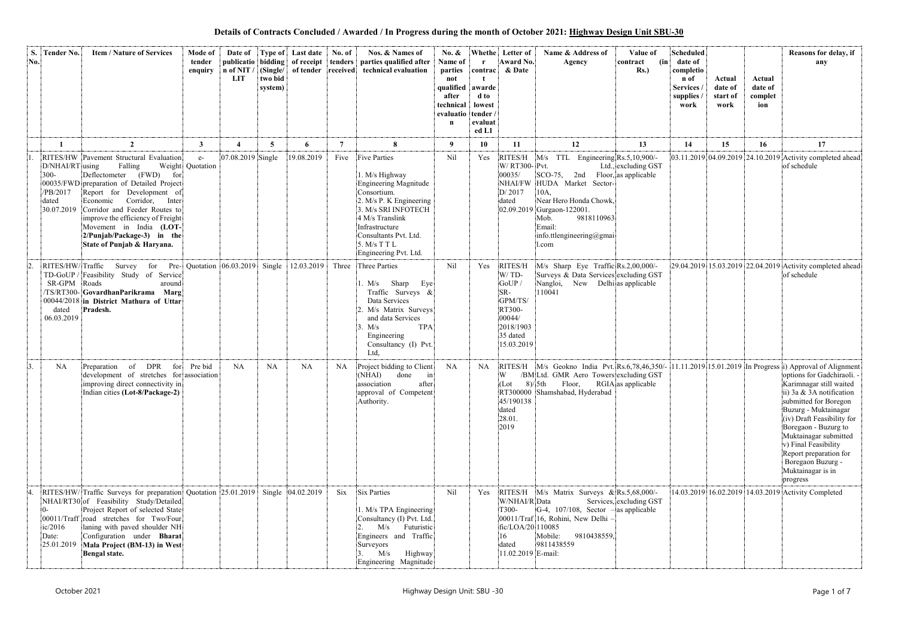**Details of Contracts Concluded / Awarded / In Progress during the month of October 2021: Highway Design Unit SBU-30**

| S.<br>No. | Tender No.                                                    | <b>Item / Nature of Services</b>                                                                                                                                                                                                                                                                                                                          | Mode of<br>tender<br>enquiry | Date of<br>$n$ of NIT /<br><b>LIT</b> | two bid<br>system) | Type of Last date<br>(Single/ of tender received) | No. of                  | Nos. & Names of<br>publicatio bidding of receipt tenders parties qualified after<br>technical evaluation                                                                                                                               | $\mathbf{N}\mathbf{0}$ . &<br>Name of<br>parties<br>not<br>qualified<br>after<br>technical<br>evaluatio tender<br>n | Whethe<br>contrac<br>awarde<br>d to<br>lowest<br>evaluat<br>ed L1 | Letter of<br><b>Award No.</b><br>& Date                                                                 | Name & Address of<br>Value of<br>(in<br>Agency<br>contract<br>$Rs.$ )                                                                                                                                                                                                | <b>Scheduled</b><br>date of<br>completio<br>n of<br>Services<br>supplies<br>work | Actual<br>date of<br>start of<br>work | Actual<br>date of<br>complet<br>ion | Reasons for delay, if<br>any                                                                                                                                                                                                                                                                                              |
|-----------|---------------------------------------------------------------|-----------------------------------------------------------------------------------------------------------------------------------------------------------------------------------------------------------------------------------------------------------------------------------------------------------------------------------------------------------|------------------------------|---------------------------------------|--------------------|---------------------------------------------------|-------------------------|----------------------------------------------------------------------------------------------------------------------------------------------------------------------------------------------------------------------------------------|---------------------------------------------------------------------------------------------------------------------|-------------------------------------------------------------------|---------------------------------------------------------------------------------------------------------|----------------------------------------------------------------------------------------------------------------------------------------------------------------------------------------------------------------------------------------------------------------------|----------------------------------------------------------------------------------|---------------------------------------|-------------------------------------|---------------------------------------------------------------------------------------------------------------------------------------------------------------------------------------------------------------------------------------------------------------------------------------------------------------------------|
|           |                                                               | $\overline{2}$                                                                                                                                                                                                                                                                                                                                            | $\mathbf{3}$                 |                                       | 5 <sup>5</sup>     | 6                                                 | $7\phantom{.0}$         | 8                                                                                                                                                                                                                                      | 9                                                                                                                   | 10                                                                | 11                                                                                                      | 12<br>13                                                                                                                                                                                                                                                             | 14                                                                               | 15                                    | 16                                  | 17                                                                                                                                                                                                                                                                                                                        |
|           | D/NHAI/RT using<br>$300 -$<br>/PB/2017<br>dated<br>30.07.2019 | RITES/HW Pavement Structural Evaluation<br>Falling<br>Deflectometer (FWD)<br>for<br>00035/FWD preparation of Detailed Project<br>Report for Development of<br>Corridor,<br>Inter<br>Economic<br>Corridor and Feeder Routes to<br>improve the efficiency of Freight<br>Movement in India (LOT-<br>2/Punjab/Package-3) in the<br>State of Punjab & Haryana. | $e-$<br>Weight Quotation     | 07.08.2019 Single                     |                    | 19.08.2019                                        | Five                    | <b>Five Parties</b><br>1. M/s Highway<br>Engineering Magnitude<br>Consortium.<br>2. M/s P. K Engineering<br>3. M/s SRI INFOTECH<br>4 M/s Translink<br>Infrastructure<br>Consultants Pvt. Ltd.<br>5. M/s T T L<br>Engineering Pvt. Ltd. | Nil                                                                                                                 | Yes                                                               | RITES/H<br>W/ RT300- Pvt.<br>00035/<br>NHAI/FW<br>D/2017<br>dated                                       | $ M/s$ TTL Engineering $Rs.5,10,900/$ -<br>Ltd., excluding GST<br>$SCO-75$ , 2nd<br>Floor, as applicable<br>HUDA Market Sector-<br>10A,<br>Near Hero Honda Chowk,<br>02.09.2019 Gurgaon-122001.<br>9818110963<br>Mob.<br>Email:<br>info.ttlengineering@gmai<br>l.com |                                                                                  |                                       |                                     | 03.11.2019 04.09.2019 24.10.2019 Activity completed ahead<br>of schedule                                                                                                                                                                                                                                                  |
|           | RITES/HW/Traffic<br>SR-GPM Roads<br>dated<br>06.03.2019       | Survey<br>for Pre- Quotation $[06.03.2019]$<br>TD-GoUP / Feasibility Study of Service<br>around<br>/TS/RT300-GovardhanParikrama Marg<br>00044/2018 in District Mathura of Uttar<br>Pradesh.                                                                                                                                                               |                              |                                       | Single             | 12.03.2019                                        | Three                   | Three Parties<br>Sharp<br>Eye<br>. M/s<br>Traffic Surveys &<br>Data Services<br>2. M/s Matrix Surveys<br>and data Services<br><b>TPA</b><br>3. M/s<br>Engineering<br>Consultancy (I) Pvt.<br>Ltd,                                      | Nil                                                                                                                 | Yes                                                               | RITES/H<br>W/TD-<br>GoUP /<br>SR-<br>GPM/TS/<br>RT300-<br>00044/<br>2018/1903<br>35 dated<br>15.03.2019 | M/s Sharp Eye Traffic Rs.2,00,000/-<br>Surveys & Data Services excluding GST<br>Nangloi,<br>New Delhi as applicable<br>110041                                                                                                                                        |                                                                                  |                                       |                                     | 29.04.2019 15.03.2019 22.04.2019 Activity completed ahead<br>of schedule                                                                                                                                                                                                                                                  |
| 3.        | <b>NA</b>                                                     | DPR<br>for<br>Preparation of<br>development of stretches for association<br>improving direct connectivity in<br>Indian cities (Lot-8/Package-2)                                                                                                                                                                                                           | Pre bid                      | NA                                    | <b>NA</b>          | NA                                                | NA                      | Project bidding to Client<br>(NHAI) done<br>$\sin$<br>association<br>after<br>approval of Competent<br>Authority.                                                                                                                      | NA                                                                                                                  | NA.                                                               | W<br>(Lot<br>45/190138<br>dated<br>28.01.<br>2019                                                       | RITES/H $ M/s$ Geokno India Pvt. Rs.6,78,46,350/- 11.11.2019 15.01.2019 In Progress i) Approval of Alignment<br>/BM Ltd. GMR Aero Towers excluding GST<br>$8$ //5th Floor, RGIA as applicable<br>RT300000 Shamshabad, Hyderabad                                      |                                                                                  |                                       |                                     | options for Gadchiraoli. -<br>Karimnagar still waited<br>ii) 3a & 3A notification<br>submitted for Boregon<br>Buzurg - Muktainagar<br>(iv) Draft Feasibility for<br>Boregaon - Buzurg to<br>Muktainagar submitted<br>v) Final Feasibility<br>Report preparation for<br>Boregaon Buzurg -<br>Muktainagar is in<br>progress |
|           | ic/2016<br>Date:                                              | RITES/HW/Traffic Surveys for preparation Quotation 25.01.2019 Single 04.02.2019<br>NHAI/RT30 of Feasibility Study/Detailed<br>Project Report of selected State<br>00011/Traff road stretches for Two/Four<br>laning with paved shoulder NH<br>Configuration under Bharat<br>25.01.2019 Mala Project (BM-13) in West<br>Bengal state.                      |                              |                                       |                    |                                                   | $\overline{\text{Six}}$ | Six Parties<br>1. M/s TPA Engineering<br>Consultancy (I) Pvt. Ltd.<br>M/s Futuristic<br>Engineers and Traffic<br>Surveyors<br>M/s<br>Highway<br>Engineering Magnitude                                                                  | Nil                                                                                                                 | Yes                                                               | RITES/H<br>W/NHAI/R Data<br>T300-<br>fic/LOA/20 110085<br>16<br>dated<br>11.02.2019 E-mail:             | M/s Matrix Surveys $\&$ Rs.5,68,000/-<br>Services, excluding GST<br>$ G-4, 107/108,$ Sector $-$ as applicable<br>00011/Traf 16, Rohini, New Delhi<br>Mobile:<br>9810438559,<br>9811438559                                                                            |                                                                                  |                                       |                                     | 14.03.2019 16.02.2019 14.03.2019 Activity Completed                                                                                                                                                                                                                                                                       |

| I                 |  |
|-------------------|--|
| a.<br>I<br>I<br>i |  |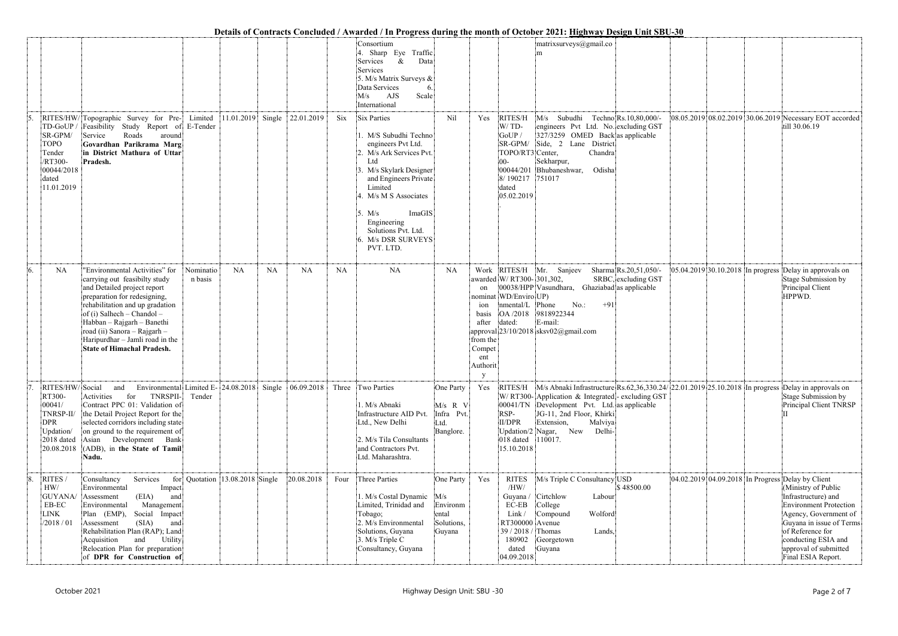|    |                                                                                                         |                                                                                                                                                                                                                                                                                                                                         |                      |                                 |    |            |           |                                                                                                                                                                                                                                                 |                                                               |                                                                                      |                                                                                                                              | Details of Contracts Concluded / Awarded / In Progress during the month of October 2021: Highway Design Unit SBU-30                                                                                                                                                              |                     |                                                                                                                                                                                                                                                                                 |
|----|---------------------------------------------------------------------------------------------------------|-----------------------------------------------------------------------------------------------------------------------------------------------------------------------------------------------------------------------------------------------------------------------------------------------------------------------------------------|----------------------|---------------------------------|----|------------|-----------|-------------------------------------------------------------------------------------------------------------------------------------------------------------------------------------------------------------------------------------------------|---------------------------------------------------------------|--------------------------------------------------------------------------------------|------------------------------------------------------------------------------------------------------------------------------|----------------------------------------------------------------------------------------------------------------------------------------------------------------------------------------------------------------------------------------------------------------------------------|---------------------|---------------------------------------------------------------------------------------------------------------------------------------------------------------------------------------------------------------------------------------------------------------------------------|
|    |                                                                                                         |                                                                                                                                                                                                                                                                                                                                         |                      |                                 |    |            |           | Consortium<br>4. Sharp Eye Traffic<br>Services<br>$\&$<br>Data<br>Services<br>5. M/s Matrix Surveys &<br>Data Services<br>Scale<br>AJS<br>M/s<br>International                                                                                  |                                                               |                                                                                      |                                                                                                                              | $\text{matrix}$ anatrixsurveys $\textcircled{a}$ gmail.co<br>m                                                                                                                                                                                                                   |                     |                                                                                                                                                                                                                                                                                 |
|    | TD-GoUP/<br>SR-GPM/<br><b>TOPO</b><br>Tender<br>/RT300-<br>00044/2018<br>dated<br>11.01.2019            | RITES/HW/Topographic Survey for Pre- Limited<br>Feasibility Study Report of E-Tender<br>Service<br>Roads<br>around<br>Govardhan Parikrama Marg<br>in District Mathura of Uttar<br>Pradesh.                                                                                                                                              |                      | $11.01.2019$ Single             |    | 22.01.2019 | Six       | Six Parties<br>1. M/S Subudhi Techno<br>engineers Pvt Ltd.<br>2. M/s Ark Services Pvt.<br>Ltd<br>3. M/s Skylark Designer<br>and Engineers Private<br>Limited<br>4. M/s M S Associates<br>ImaGIS<br>5. M/s<br>Engineering<br>Solutions Pvt. Ltd. | Nil                                                           | Yes                                                                                  | RITES/H<br>$W/TD$ -<br>GoUP/<br>SR-GPM/<br>TOPO/RT3 Center,<br>00-<br>8/190217<br>dated<br>05.02.2019                        | M/s Subudhi Techno Rs.10,80,000/-<br>engineers Pvt Ltd. No. excluding GST<br>327/3259 OMED Back as applicable<br>Side, 2 Lane District<br>Chandra<br>Sekharpur,<br>00044/201 Bhubaneshwar,<br>Odisha<br>751017                                                                   |                     | 08.05.2019 08.02.2019 30.06.2019 Necessary EOT accorded<br>till 30.06.19                                                                                                                                                                                                        |
| 6. | <b>NA</b>                                                                                               | 'Environmental Activities" for<br>carrying out feasibilty study<br>and Detailed project report<br>preparation for redesigning,<br>rehabilitation and up gradation<br>$of (i)$ Salhech – Chandol –<br>Habban - Rajgarh - Banethi<br>road (ii) Sanora - Rajgarh -<br>Haripurdhar - Jamli road in the<br><b>State of Himachal Pradesh.</b> | Nominatio<br>n basis | <b>NA</b>                       | NA | <b>NA</b>  | <b>NA</b> | 6. M/s DSR SURVEYS<br>PVT. LTD.<br>NA                                                                                                                                                                                                           | NA                                                            | on<br>ion<br>basis<br>after<br>from the<br>Compet<br>ent<br>Authorit<br><sup>V</sup> | awarded W/RT300-301,302,<br>nominat WD/Enviro UP)<br>nmental/L Phone<br>OA /2018<br>dated:                                   | Work RITES/H Mr. Sanjeev<br>Sharma Rs.20,51,050/-<br>00038/HPP Vasundhara, Ghaziabad as applicable<br>$No.$ :<br>$+91$<br>9818922344<br>E-mail:<br>approval 23/10/2018 sksv02@gmail.com                                                                                          | SRBC, excluding GST | 05.04.2019 30.10.2018 In progress Delay in approvals on<br>Stage Submission by<br>Principal Client<br>HPPWD.                                                                                                                                                                    |
|    | RITES/HW/Social<br>RT300-<br>00041/<br>TNRSP-II/<br><b>DPR</b><br>Updation/<br>2018 dated<br>20.08.2018 | Environmental Limited E- 24.08.2018 Single 06.09.2018<br>and<br>TNRSPII-<br>Activities<br>for<br>Contract PPC 01: Validation of<br>the Detail Project Report for the<br>selected corridors including state<br>on ground to the requirement of<br>Asian<br>Development Bank<br>(ADB), in the State of Tamil<br>Nadu.                     | Tender               |                                 |    |            |           | Three Two Parties<br>1. M/s Abnaki<br>Infrastructure AID Pvt.<br>Ltd., New Delhi<br>2. M/s Tila Consultants<br>and Contractors Pvt.<br>Ltd. Maharashtra.                                                                                        | One Party<br>M/s R V<br>Infra Pvt.<br>Ltd.<br>Banglore.       | Yes                                                                                  | RITES/H<br>RSP-<br>II/DPR<br>018 dated<br>15.10.2018                                                                         | M/s Abnaki Infrastructure Rs.62,36,330.24/22.01.2019 25.10.2018 In progress<br>W/RT300-Application & Integrated-excluding GST<br>00041/TN Development Pvt. Ltd. as applicable<br>JG-11, 2nd Floor, Khirki<br>Extension,<br>Malviya<br>Updation/2 Nagar, New<br>Delhi-<br>110017. |                     | Delay in approvals on<br>Stage Submission by<br>Principal Client TNRSP                                                                                                                                                                                                          |
| 8. | RITES /<br>HW/<br>GUYANA/ Assessment<br>EB-EC<br>LINK<br>/2018 / 01                                     | Services<br>Consultancy<br>Environmental<br>Impact<br>(EIA)<br>and<br>Management<br>Environmental<br>Social Impact<br>Plan (EMP),<br>(SIA)<br>and<br>Assessment<br>Rehabilitation Plan (RAP); Land<br>and<br>Utility<br>Acquisition<br>Relocation Plan for preparation<br>of DPR for Construction of                                    |                      | for Quotation 13.08.2018 Single |    | 20.08.2018 | Four      | Three Parties<br>1. M/s Costal Dynamic<br>Limited, Trinidad and<br>Tobago;<br>2. M/s Environmental<br>Solutions, Guyana<br>3. M/s Triple C<br>Consultancy, Guyana                                                                               | One Party<br>M/s<br>Environm<br>ental<br>Solutions,<br>Guyana | Yes                                                                                  | <b>RITES</b><br>/HW/<br>Guyana /<br>EC-EB<br>Link/<br>RT300000 Avenue<br>39 / 2018 / Thomas<br>180902<br>dated<br>04.09.2018 | M/s Triple C Consultancy USD<br>Cirtchlow<br>Labour<br>College<br>Wolford<br>Compound<br>Lands,<br>Georgetown<br>Guyana                                                                                                                                                          | \$48500.00          | 04.02.2019 04.09.2018 In Progress Delay by Client<br>(Ministry of Public<br>Infrastructure) and<br><b>Environment Protection</b><br>Agency, Government of<br>Guyana in issue of Terms<br>of Reference for<br>conducting ESIA and<br>approval of submitted<br>Final ESIA Report. |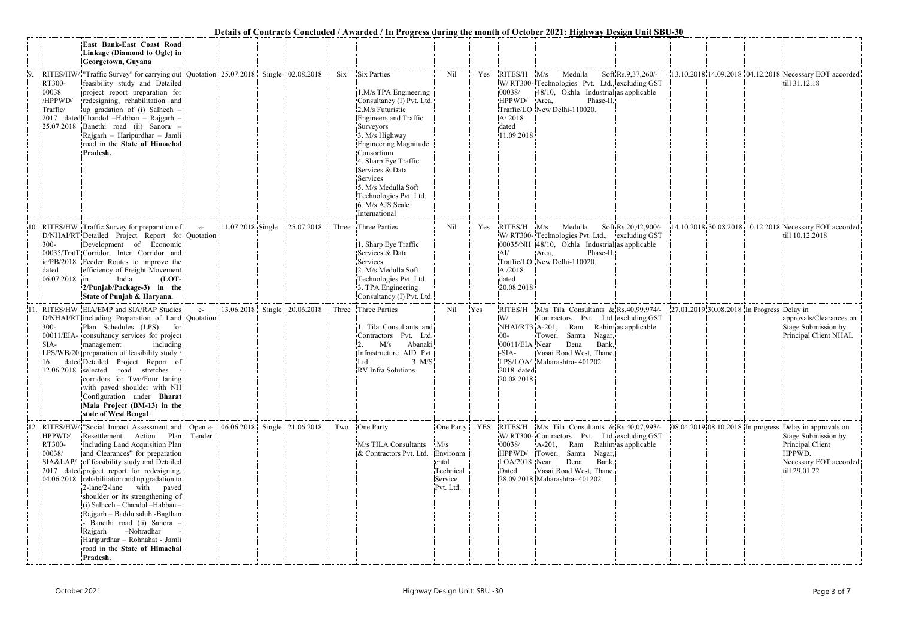|     |                                                      |                                                                                                                                                                                                                                                                                                                                                                                                                                                                                                                                                                       |                   |                   |                   |       |                                                                                                                                                                                                                                                                                                                                          |                                                                            |            |                                                                                   | Details of Contracts Conciuded / Awarded / In Progress during the month of October 2021; Highway Design Unit SBU-30                                                                                                 |                     |                                            |                                                                                                                         |
|-----|------------------------------------------------------|-----------------------------------------------------------------------------------------------------------------------------------------------------------------------------------------------------------------------------------------------------------------------------------------------------------------------------------------------------------------------------------------------------------------------------------------------------------------------------------------------------------------------------------------------------------------------|-------------------|-------------------|-------------------|-------|------------------------------------------------------------------------------------------------------------------------------------------------------------------------------------------------------------------------------------------------------------------------------------------------------------------------------------------|----------------------------------------------------------------------------|------------|-----------------------------------------------------------------------------------|---------------------------------------------------------------------------------------------------------------------------------------------------------------------------------------------------------------------|---------------------|--------------------------------------------|-------------------------------------------------------------------------------------------------------------------------|
|     |                                                      | East Bank-East Coast Road<br>Linkage (Diamond to Ogle) in<br>Georgetown, Guyana                                                                                                                                                                                                                                                                                                                                                                                                                                                                                       |                   |                   |                   |       |                                                                                                                                                                                                                                                                                                                                          |                                                                            |            |                                                                                   |                                                                                                                                                                                                                     |                     |                                            |                                                                                                                         |
| 9.  | RT300-<br>00038<br>/HPPWD/<br>Traffic/<br>25.07.2018 | RITES/HW/ $\vert$ "Traffic Survey" for carrying out Quotation 25.07.2018 Single 02.08.2018<br>feasibility study and Detailed<br>project report preparation for<br>redesigning, rehabilitation and<br>up gradation of (i) Salhech -<br>2017 dated Chandol -Habban - Rajgarh -<br>Banethi road (ii) Sanora -<br>Rajgarh - Haripurdhar - Jamli<br>road in the State of Himachal<br>Pradesh.                                                                                                                                                                              |                   |                   |                   | Six   | <b>Six Parties</b><br>1.M/s TPA Engineering<br>Consultancy (I) Pvt. Ltd.<br>2.M/s Futuristic<br>Engineers and Traffic<br>Surveyors<br>3. M/s Highway<br>Engineering Magnitude<br>Consortium<br>4. Sharp Eye Traffic<br>Services & Data<br>Services<br>5. M/s Medulla Soft<br>Technologies Pvt. Ltd.<br>6. M/s AJS Scale<br>International | Nil                                                                        | Yes        | RITES/H M/s<br>00038/<br>HPPWD/<br>A/2018<br>dated<br>11.09.2018                  | Medulla<br>W/RT300-Technologies Pvt. Ltd., excluding GST<br>$ 48/10$ , Okhla Industrial as applicable<br>Phase-II,<br>Area,<br>Traffic/LO New Delhi-110020.                                                         | Soft Rs.9,37,260/-  |                                            | 13.10.2018 14.09.2018 04.12.2018 Necessary EOT accorded<br>till 31.12.18                                                |
| 10. | $300 -$<br>dated<br>06.07.2018                       | RITES/HW Traffic Survey for preparation of<br>D/NHAI/RT Detailed Project Report for Quotation<br>Development of Economic<br>00035/Traff Corridor, Inter Corridor and<br>ic/PB/2018 Feeder Routes to improve the<br>efficiency of Freight Movement<br>$(LOT-$<br>India<br>im.<br>2/Punjab/Package-3) in the<br>State of Punjab & Haryana.                                                                                                                                                                                                                              | $e-$              | 11.07.2018 Single | 25.07.2018        |       | Three Three Parties<br>1. Sharp Eye Traffic<br>Services & Data<br>Services<br>2. M/s Medulla Soft<br>Technologies Pvt. Ltd.<br>3. TPA Engineering<br>Consultancy (I) Pvt. Ltd.                                                                                                                                                           | Nil                                                                        | Yes        | RITES/H<br>AI/<br>A /2018<br>dated<br>20.08.2018                                  | Medulla<br>M/s<br>W/RT300-Technologies Pvt. Ltd., excluding GST<br>00035/NH 48/10, Okhla Industrial as applicable<br>Area,<br>Phase-II,<br>Traffic/LO New Delhi-110020.                                             | Soft Rs.20,42,900/- |                                            | 14.10.2018 30.08.2018 10.12.2018 Necessary EOT accorded<br>till 10.12.2018                                              |
|     | $300 -$<br>SIA-                                      | RITES/HW EIA/EMP and SIA/RAP Studies<br>D/NHAI/RT including Preparation of Land Quotation<br>Plan Schedules (LPS)<br>for<br>00011/EIA- consultancy services for project<br>management<br>including<br>LPS/WB/20 preparation of feasibility study /<br>dated Detailed Project Report of<br>12.06.2018 selected road stretches<br>corridors for Two/Four laning<br>with paved shoulder with NH<br>Configuration under Bharat<br>Mala Project (BM-13) in the<br>state of West Bengal.                                                                                    | $e-$              | 13.06.2018        | Single 20.06.2018 | Three | Three Parties<br>1. Tila Consultants and<br>Contractors Pvt. Ltd.<br>M/s<br>Abanaki<br>Infrastructure AID Pvt.<br>3. M/S<br>Ltd.<br>RV Infra Solutions                                                                                                                                                                                   | Nil                                                                        | Yes        | RITES/H<br>NHAI/RT3 A-201,<br>00011/EIA Near<br>-SIA-<br>2018 dated<br>20.08.2018 | M/s Tila Consultants & Rs.40,99,974/-<br>Contractors Pvt. Ltd. excluding GST<br>Ram<br>Tower, Samta<br>Nagar,<br>Dena<br>Bank,<br>Vasai Road West, Thane,<br>LPS/LOA/ Maharashtra-401202.                           | Rahim as applicable | 27.01.2019 30.08.2018 In Progress Delay in | approvals/Clearances on<br>Stage Submission by<br>Principal Client NHAI.                                                |
| 12. | HPPWD/<br>RT300-<br>00038/                           | RITES/HW/ "Social Impact Assessment and<br>Resettlement Action Plan<br>including Land Acquisition Plan<br>and Clearances" for preparation<br>SIA&LAP/ of feasibility study and Detailed<br>2017 dated project report for redesigning,<br>$[04.06.2018]$ rehabilitation and up gradation to<br>2-lane/2-lane with paved<br>shoulder or its strengthening of<br>(i) Salhech - Chandol - Habban -<br>Rajgarh - Baddu sahib - Bagthan<br>Banethi road (ii) Sanora<br>-Nohradhar<br>Rajgarh<br>Haripurdhar - Rohnahat - Jamli<br>road in the State of Himachal<br>Pradesh. | Open e-<br>Tender | 06.06.2018        | Single 21.06.2018 | Two   | One Party<br>M/s TILA Consultants<br>& Contractors Pvt. Ltd.                                                                                                                                                                                                                                                                             | One Party<br>M/s<br>Environm<br>ental<br>Technical<br>Service<br>Pvt. Ltd. | <b>YES</b> | 00038/<br>HPPWD/<br>LOA/2018 Near<br>Dated                                        | RITES/H M/s Tila Consultants & Rs.40,07,993/-<br>W/RT300-Contractors Pvt. Ltd. excluding GST<br>A-201, Ram<br>Tower, Samta<br>Nagar,<br>Dena<br>Bank,<br>Vasai Road West, Thane,<br>28.09.2018 Maharashtra- 401202. | Rahimas applicable  | 08.04.2019 08.10.2018 In progress          | Delay in approvals on<br>Stage Submission by<br>Principal Client<br>HPPWD.  <br>Necessary EOT accorded<br>till 29.01.22 |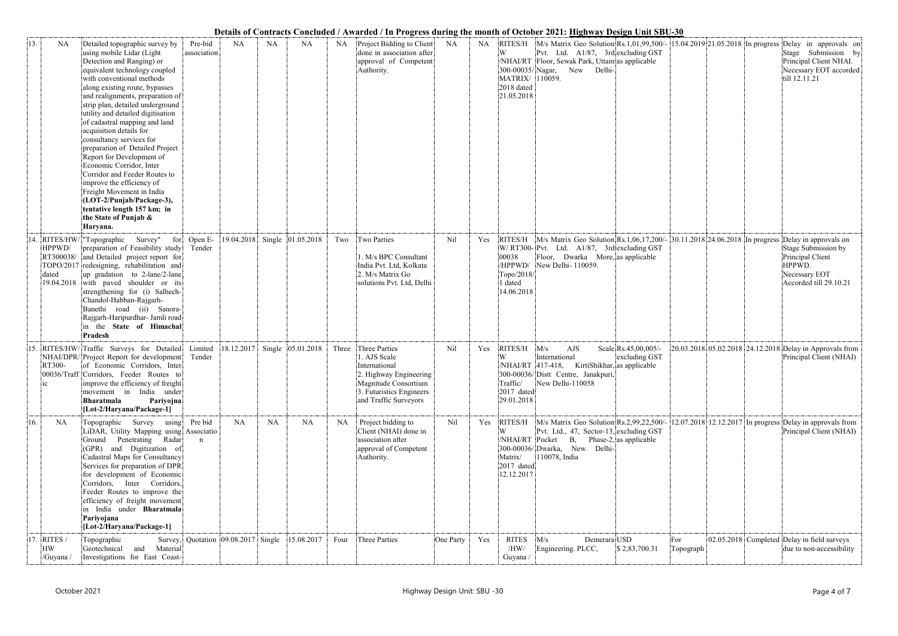## **Details of Contracts Concluded / Awarded / In Progress during the month of October 2021: Highway Design Unit SBU-30**

| 13. | <b>NA</b>                | Detailed topographic survey by<br>using mobile Lidar (Light<br>Detection and Ranging) or<br>equivalent technology coupled<br>with conventional methods<br>along existing route, bypasses<br>and realignments, preparation of<br>strip plan, detailed underground<br>utility and detailed digitisation<br>of cadastral mapping and land<br>acquisition details for<br>consultancy services for<br>preparation of Detailed Project | Pre-bid<br>association | <b>NA</b>                       | NA        | <b>NA</b>         | NA        | Project Bidding to Client<br>done in association after<br>approval of Competent<br>Authority.                                                         | NA        |     | NA RITES/H<br>W<br>MATRIX/ 110059.<br>2018 dated<br>21.05.2018         | Details of Contracts Conciduate / Awarucu / In Frogress uuring the month of October 2021, <u>Highway Design Unit SDO-50</u><br>Pvt. Ltd. A1/87, 3rd excluding GST<br>NHAI/RT Floor, Sewak Park, Uttam as applicable<br>300-00035/Nagar, New<br>Delhi- |                                       |                  |  | M/s Matrix Geo Solution Rs.1,01,99,500/- 15.04.2019 21.05.2018 In progress Delay in approvals on<br>Stage Submission by<br>Principal Client NHAI.<br>Necessary EOT accorded<br>till 12.11.21 |
|-----|--------------------------|----------------------------------------------------------------------------------------------------------------------------------------------------------------------------------------------------------------------------------------------------------------------------------------------------------------------------------------------------------------------------------------------------------------------------------|------------------------|---------------------------------|-----------|-------------------|-----------|-------------------------------------------------------------------------------------------------------------------------------------------------------|-----------|-----|------------------------------------------------------------------------|-------------------------------------------------------------------------------------------------------------------------------------------------------------------------------------------------------------------------------------------------------|---------------------------------------|------------------|--|----------------------------------------------------------------------------------------------------------------------------------------------------------------------------------------------|
|     |                          | Report for Development of<br>Economic Corridor, Inter<br>Corridor and Feeder Routes to<br>improve the efficiency of<br>Freight Movement in India<br>(LOT-2/Punjab/Package-3),<br>tentative length 157 km; in<br>the State of Punjab &<br>Haryana.                                                                                                                                                                                |                        |                                 |           |                   |           |                                                                                                                                                       |           |     |                                                                        |                                                                                                                                                                                                                                                       |                                       |                  |  |                                                                                                                                                                                              |
| 14  | HPPWD/<br>dated          | RITES/HW/ "Topographic Survey" for<br>preparation of Feasibility study<br>RT300038/ and Detailed project report for<br>TOPO/2017 redesigning, rehabilitation and<br>up gradation to 2-lane/2-lane<br>19.04.2018 with paved shoulder or its<br>strengthening for (i) Salhech-<br>Chandol-Habban-Rajgarh-<br>Banethi road (ii) Sanora-<br>Rajgarh-Haripurdhar- Jamli road<br>in the State of Himachal<br>Pradesh                   | Open E-<br>Tender      | 19.04.2018                      | Single    | 01.05.2018        | Two       | Two Parties<br>1. M/s BPC Consultant<br>India Pvt. Ltd, Kolkata<br>2. M/s Matrix Go<br>solutions Pvt. Ltd, Delhi                                      | Nil       | Yes | RITES/H<br>00038<br>/HPPWD/<br>Topo/2018/<br>dated<br>14.06.2018       | M/s Matrix Geo Solution Rs.1,06,17,200/- 30.11.2018 24.06.2018 In progress<br>W/RT300- Pvt. Ltd. A1/87, 3rd excluding GST<br>Floor, Dwarka More, as applicable<br>New Delhi-110059.                                                                   |                                       |                  |  | Delay in approvals on<br>Stage Submission by<br>Principal Client<br>HPPWD.<br>Necessary EOT<br>Accorded till 29.10.21                                                                        |
| 15. | RT300-<br>1 <sup>C</sup> | RITES/HW/Traffic Surveys for Detailed<br>NHAI/DPR/Project Report for development<br>of Economic Corridors, Inter<br>00036/Traff Corridors, Feeder Routes to<br>improve the efficiency of freight<br>movement in India under<br><b>Bharatmala</b><br>Pariyojna<br>[Lot-2/Haryana/Package-1]                                                                                                                                       | Limited<br>Tender      | 18.12.2017                      |           | Single 05.01.2018 | Three     | Three Parties<br>1. AJS Scale<br>International<br>2. Highway Engineering<br>Magnitude Consortium<br>3. Futuristics Engineers<br>and Traffic Surveyors | Nil       | Yes | RITES/H<br>Traffic/<br>2017 dated<br>29.01.2018                        | M/s<br>AJS<br>International<br>/NHAI/RT 417-418, KirtiShikhar, as applicable<br>300-00036/ Distt Centre, Janakpuri,<br>New Delhi-110058                                                                                                               | Scale Rs.45,00,005/-<br>excluding GST |                  |  | 20.03.2018 05.02.2018 24.12.2018 Delay in Approvals from<br>Principal Client (NHAI)                                                                                                          |
| 16. | NA                       | Topographic Survey<br>using<br>LiDAR, Utility Mapping using Associatio<br>Ground Penetrating Radar<br>(GPR) and Digitization of<br>Cadastral Maps for Consultancy<br>Services for preparation of DPR<br>for development of Economic<br>Corridors, Inter Corridors,<br>Feeder Routes to improve the<br>efficiency of freight movement<br>in India under Bharatmala<br>Pariyojana<br>[Lot-2/Haryana/Package-1]                     | Pre bid<br>$\mathbf n$ | <b>NA</b>                       | <b>NA</b> | NA                | <b>NA</b> | Project bidding to<br>Client (NHAI) done in<br>association after<br>approval of Competent<br>Authority.                                               | Nil       | Yes | RITES/H<br>W<br>/NHAI/RT Pocket<br>Matrix/<br>2017 dated<br>12.12.2017 | M/s Matrix Geo Solution Rs.2,99,22,500/-<br>Pvt. Ltd., 47, Sector-13, excluding GST<br><b>B</b> ,<br>300-00036/Dwarka, New<br>Delhi-<br>110078, India                                                                                                 | Phase-2, as applicable                |                  |  | $12.07.2018$ 12.12.2017 In progress Delay in approvals from<br>Principal Client (NHAI)                                                                                                       |
| 17  | RITES /<br>HW<br>/Guyana | Topographic<br>Survey,<br>and<br>Material<br>Geotechnical<br>Investigations for East Coast-                                                                                                                                                                                                                                                                                                                                      |                        | Quotation $ 09.08.2017 $ Single |           | 15.08.2017        | Four      | Three Parties                                                                                                                                         | One Party | Yes | <b>RITES</b><br>/HW/<br>Guyana /                                       | Demerara USD<br>M/s<br>Engineering. PLCC,                                                                                                                                                                                                             | \$2,83,700.31                         | For<br>Topograph |  | 02.05.2018 Completed Delay in field surveys<br>due to non-accessibility                                                                                                                      |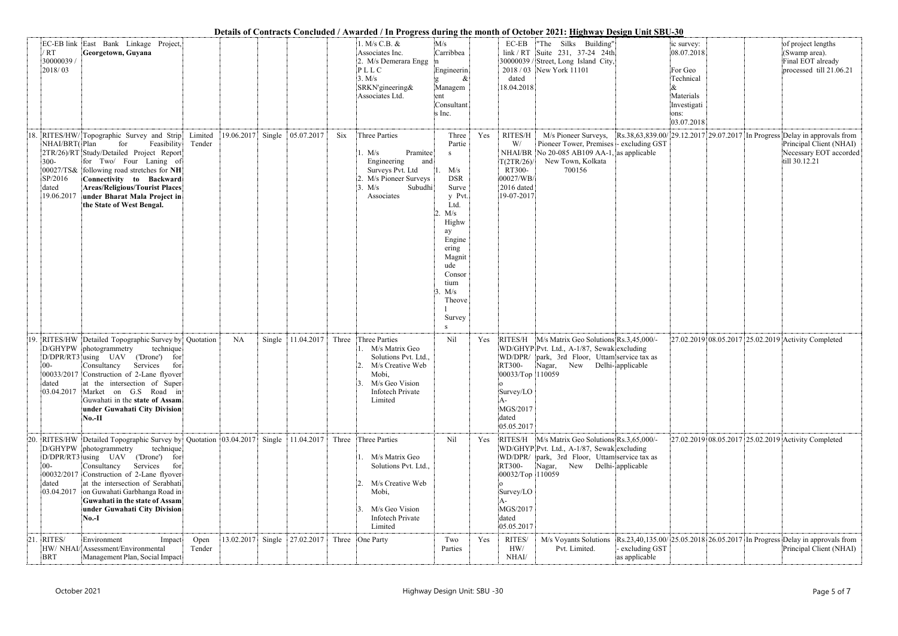## **Details of Contracts Concluded / Awarded / In Progress during the month of October 2021: Highway Design Unit SBU-30**

|      |                                                            |                                                                                                                                                                                                                                                                                                                                                                                                   |                |           |        |                              |       |                                                                                                                                                         |                                                                                                                                                                                             |     |                                                                                          | Details of Contracts Concluded / Awarded / In Progress during the month of October 2021; <u>Highway Design Unit SBU-30</u>                                            |                                |                                                                                                    |  |                                                                                                                                                                         |
|------|------------------------------------------------------------|---------------------------------------------------------------------------------------------------------------------------------------------------------------------------------------------------------------------------------------------------------------------------------------------------------------------------------------------------------------------------------------------------|----------------|-----------|--------|------------------------------|-------|---------------------------------------------------------------------------------------------------------------------------------------------------------|---------------------------------------------------------------------------------------------------------------------------------------------------------------------------------------------|-----|------------------------------------------------------------------------------------------|-----------------------------------------------------------------------------------------------------------------------------------------------------------------------|--------------------------------|----------------------------------------------------------------------------------------------------|--|-------------------------------------------------------------------------------------------------------------------------------------------------------------------------|
|      | $'$ RT<br>30000039 /<br>2018/03                            | EC-EB link East Bank Linkage Project,<br>Georgetown, Guyana                                                                                                                                                                                                                                                                                                                                       |                |           |        |                              |       | 1. M/s C.B. &<br>Associates Inc.<br>2. M/s Demerara Engg<br>PLLC<br>3. M/s<br>SRKN'gineering&<br>Associates Ltd.                                        | M/s<br>Carribbea<br>Engineerin<br>Managem<br>ent<br>Consultant<br>s Inc.                                                                                                                    |     | $EC-EB$<br>dated<br>18.04.2018                                                           | "The Silks Building"<br>$link / RT$ Suite 231, 37-24 24th<br>30000039 / Street, Long Island City,<br>2018 / 03 New York 11101                                         |                                | ic survey:<br>08.07.2018<br>For Geo<br>Technical<br>Materials<br>Investigati<br>ons:<br>03.07.2018 |  | of project lengths<br>(Swamp area).<br>Final EOT already<br>processed till 21.06.21                                                                                     |
|      | NHAI/BRT(Plan<br>$300 -$<br>SP/2016<br>dated<br>19.06.2017 | 18. RITES/HW/Topographic Survey and Strip Limited<br>for<br>Feasibility<br>2TR/26)/RT Study/Detailed Project Report<br>for Two/ Four Laning of<br>00027/TS& following road stretches for NH<br>Connectivity to Backward<br><b>Areas/Religious/Tourist Places</b><br>under Bharat Mala Project in<br>the State of West Bengal.                                                                     | Tender         |           |        | 19.06.2017 Single 05.07.2017 | Six   | Three Parties<br>Pramitee<br>1. M/s<br>Engineering<br>and<br>Surveys Pvt. Ltd<br>M/s Pioneer Surveys<br>M/s<br>Subudhi<br>Associates                    | Three<br>Partie<br>S<br>M/s<br><b>DSR</b><br>Surve<br>y Pvt.<br>Ltd.<br>M/s<br>Highw<br>ay<br>Engine<br>ering<br>Magnit<br>ude<br>Consor<br>tium<br>M/s<br>Theove<br>Survey<br><sup>S</sup> | Yes | RITES/H<br>W/<br>NHAI/BR<br>T(2TR/26)<br>RT300-<br>00027/WB/<br>2016 dated<br>19-07-2017 | M/s Pioneer Surveys,<br>Pioneer Tower, Premises - excluding GST<br>No $20-085$ AB109 AA-1, as applicable<br>New Town, Kolkata<br>700156                               |                                |                                                                                                    |  | $\left \frac{R_s.38,63,839.00}{29.12.2017}\right $ 29.07.2017 In Progress Delay in approvals from<br>Principal Client (NHAI)<br>Necessary EOT accorded<br>till 30.12.21 |
|      | $00 -$<br>dated                                            | 19. RITES/HW Detailed Topographic Survey by Quotation<br>D/GHYPW photogrammetry<br>technique<br>D/DPR/RT3 using UAV<br>('Drone')<br>for<br>Consultancy Services<br>for<br>00033/2017 Construction of 2-Lane flyover<br>at the intersection of Super<br>03.04.2017 Market on G.S Road in<br>Guwahati in the state of Assam<br>under Guwahati City Division<br>$No.-II$                             |                | <b>NA</b> | Single | 11.04.2017                   |       | Three Three Parties<br>. M/s Matrix Geo<br>Solutions Pvt. Ltd.,<br>2. M/s Creative Web<br>Mobi,<br>M/s Geo Vision<br><b>Infotech Private</b><br>Limited | Nil                                                                                                                                                                                         | Yes | RITES/H<br>RT300-<br>00033/Top 110059<br>Survey/LO<br>MGS/2017<br>dated<br>05.05.2017    | M/s Matrix Geo Solutions Rs.3,45,000/-<br>WD/GHYP Pvt. Ltd., A-1/87, Sewak excluding<br>WD/DPR/ park, 3rd Floor, Uttam service tax as<br>Nagar, New Delhi- applicable |                                |                                                                                                    |  | 27.02.2019 08.05.2017 25.02.2019 Activity Completed                                                                                                                     |
| .20. | $00 -$<br>dated                                            | RITES/HW Detailed Topographic Survey by Quotation 03.04.2017 Single 11.04.2017<br>D/GHYPW photogrammetry<br>technique<br>D/DPR/RT3 using UAV ('Drone') for<br>Consultancy Services<br>for<br>00032/2017 Construction of 2-Lane flyover<br>at the intersection of Serabhati<br>03.04.2017 on Guwahati Garbhanga Road in<br>Guwahati in the state of Assam<br>under Guwahati City Division<br>No.-I |                |           |        |                              | Three | Three Parties<br>M/s Matrix Geo<br>Solutions Pvt. Ltd.,<br>M/s Creative Web<br>Mobi,<br>M/s Geo Vision<br><b>Infotech Private</b><br>Limited            | Nil                                                                                                                                                                                         | Yes | RITES/H<br>RT300-<br>00032/Top 110059<br>Survey/LO<br>MGS/2017<br>dated<br>05.05.2017    | M/s Matrix Geo Solutions Rs.3,65,000/-<br>WD/GHYP Pvt. Ltd., A-1/87, Sewak excluding<br>WD/DPR/ park, 3rd Floor, Uttam service tax as<br>Nagar,<br>New                | Delhi-applicable               |                                                                                                    |  | 27.02.2019 08.05.2017 25.02.2019 Activity Completed                                                                                                                     |
| 21.  | RITES/<br><b>BRT</b>                                       | Environment<br>Impact<br>HW/ NHAI/Assessment/Environmental<br>Management Plan, Social Impact                                                                                                                                                                                                                                                                                                      | Open<br>Tender |           |        | 13.02.2017 Single 27.02.2017 |       | Three One Party                                                                                                                                         | Two<br>Parties                                                                                                                                                                              | Yes | RITES/<br>HW/<br>NHAI/                                                                   | M/s Voyants Solutions<br>Pvt. Limited.                                                                                                                                | excluding GST<br>as applicable |                                                                                                    |  | Rs.23,40,135.00/ 25.05.2018 26.05.2017 In Progress Delay in approvals from<br>Principal Client (NHAI)                                                                   |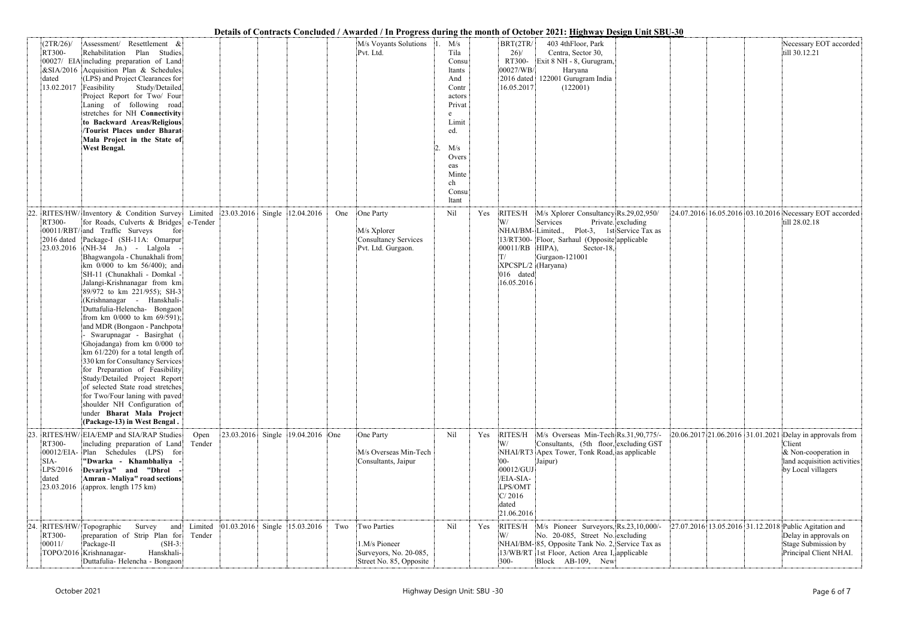|                                                   |                                                                                                                                                                                                                                                                                                                                                                                                                                                                                                                                                                                                                                                                                                                                                                                                                                                                |                   |                                      |                                  |     |                                                                                   |                                                                                                                                                 |     |                                                                                                 | Details of Contracts Concluded / Awarded / In Progress during the month of October 2021: Highway Design Unit SBU-30                                                                                |                                                  |                                                       |                                                                                                                                                    |
|---------------------------------------------------|----------------------------------------------------------------------------------------------------------------------------------------------------------------------------------------------------------------------------------------------------------------------------------------------------------------------------------------------------------------------------------------------------------------------------------------------------------------------------------------------------------------------------------------------------------------------------------------------------------------------------------------------------------------------------------------------------------------------------------------------------------------------------------------------------------------------------------------------------------------|-------------------|--------------------------------------|----------------------------------|-----|-----------------------------------------------------------------------------------|-------------------------------------------------------------------------------------------------------------------------------------------------|-----|-------------------------------------------------------------------------------------------------|----------------------------------------------------------------------------------------------------------------------------------------------------------------------------------------------------|--------------------------------------------------|-------------------------------------------------------|----------------------------------------------------------------------------------------------------------------------------------------------------|
| (2TR/26)<br>RT300-<br>dated<br>13.02.2017         | Assessment/ Resettlement &<br>Rehabilitation Plan Studies<br>00027/ EIA including preparation of Land<br>$\&$ SIA/2016 Acquisition Plan & Schedules<br>(LPS) and Project Clearances for<br>Feasibility<br>Study/Detailed<br>Project Report for Two/ Four<br>Laning of following road<br>stretches for NH Connectivity<br>to Backward Areas/Religious<br><b>Tourist Places under Bharat</b><br>Mala Project in the State of<br>West Bengal.                                                                                                                                                                                                                                                                                                                                                                                                                     |                   |                                      |                                  |     | M/s Voyants Solutions<br>Pvt. Ltd.                                                | M/s<br>Tila<br>Consu<br>ltants<br>And<br>Contr<br>actors<br>Privat<br>e<br>Limit<br>ed.<br>M/s<br>Overs<br>eas<br>Minte<br>ch<br>Consu<br>ltant |     | BRT(2TR/<br>26/<br>RT300-<br>00027/WB/<br>2016 dated<br>16.05.2017                              | 403 4thFloor, Park<br>Centra, Sector 30,<br>Exit 8 NH - 8, Gurugram,<br>Haryana<br>122001 Gurugram India<br>(122001)                                                                               |                                                  |                                                       | Necessary EOT accorded<br>till 30.12.21                                                                                                            |
| RT300-<br>2016 dated<br>23.03.2016                | RITES/HW/ Inventory & Condition Survey<br>for Roads, Culverts & Bridges e-Tender<br>00011/RBT/ and Traffic Surveys<br>for<br>Package-I (SH-11A: Omarpur<br>$(NH-34$ Jn.) - Lalgola<br>Bhagwangola - Chunakhali from<br>km 0/000 to km 56/400); and<br>SH-11 (Chunakhali - Domkal -<br>Jalangi-Krishnanagar from km<br>89/972 to km 221/955); SH-3<br>(Krishnanagar - Hanskhali-<br>Duttafulia-Helencha- Bongaon<br>from km $0/000$ to km $69/591$ ;<br>and MDR (Bongaon - Panchpota<br>Swarupnagar - Basirghat<br>Ghojadanga) from km 0/000 to<br>km $61/220$ ) for a total length of<br>330 km for Consultancy Services<br>for Preparation of Feasibility<br>Study/Detailed Project Report<br>of selected State road stretches<br>for Two/Four laning with paved<br>shoulder NH Configuration of<br>under Bharat Mala Project<br>(Package-13) in West Bengal. |                   | Limited 23.03.2016 Single 12.04.2016 |                                  | One | One Party<br>M/s Xplorer<br>Consultancy Services<br>Pvt. Ltd. Gurgaon.            | Nil                                                                                                                                             | Yes | RITES/H<br>W/<br>NHAI/BM-Limited.,<br>00011/RB<br>XPCSPL/2 (Haryana)<br>016 dated<br>16.05.2016 | M/s Xplorer Consultancy Rs.29,02,950/<br>Services<br>13/RT300- Floor, Sarhaul (Opposite applicable<br>HIPA),<br>Sector-18,<br>Gurgaon-121001                                                       | Private. excluding<br>Plot-3, 1st Service Tax as |                                                       | 24.07.2016 16.05.2016 03.10.2016 Necessary EOT accorded<br>till 28.02.18                                                                           |
| RT300-<br>SIA-<br>LPS/2016<br>dated<br>23.03.2016 | RITES/HW/ EIA/EMP and SIA/RAP Studies<br>including preparation of Land<br>00012/EIA- Plan Schedules (LPS) for<br>"Dwarka - Khambhaliya<br>Devariya" and "Dhrol<br><b>Amran - Maliya" road sections</b><br>(approx. length 175 km)                                                                                                                                                                                                                                                                                                                                                                                                                                                                                                                                                                                                                              | Open<br>Tender    |                                      | 23.03.2016 Single 19.04.2016 One |     | One Party<br>M/s Overseas Min-Tech<br>Consultants, Jaipur                         | Nil                                                                                                                                             | Yes | RITES/H<br>W/<br>$ 00 -$<br>00012/GUJ<br>/EIA-SIA-<br>LPS/OMT<br>C/2016<br>dated<br>21.06.2016  | M/s Overseas Min-Tech Rs.31,90,775/-<br>Consultants, (5th floor, excluding GST<br>NHAI/RT3 Apex Tower, Tonk Road, as applicable<br>Jaipur)                                                         |                                                  |                                                       | 20.06.2017 21.06.2016 31.01.2021 Delay in approvals from<br>Client<br>$\&$ Non-cooperation in<br>land acquisition activities<br>by Local villagers |
| RT300-<br>00011/                                  | 24. RITES/HW/ Topographic<br>Survey and<br>preparation of Strip Plan for<br>Package-II<br>$(SH-3)$ :<br>TOPO/2016 Krishnanagar-<br>Hanskhali-<br>Duttafulia-Helencha - Bongaon                                                                                                                                                                                                                                                                                                                                                                                                                                                                                                                                                                                                                                                                                 | Limited<br>Tender | $ 01.03.2016 $ Single 15.03.2016     |                                  | Two | Two Parties<br>1.M/s Pioneer<br>Surveyors, No. 20-085,<br>Street No. 85, Opposite | Nil                                                                                                                                             | Yes | RITES/H<br>W/<br>$300 -$                                                                        | M/s Pioneer Surveyors, Rs.23,10,000/-<br>No. 20-085, Street No. excluding<br>NHAI/BM-85, Opposite Tank No. 2, Service Tax as<br>13/WB/RT 1st Floor, Action Area I, applicable<br>Block AB-109, New |                                                  | 27.07.2016 13.05.2016 31.12.2018 Public Agitation and | Delay in approvals on<br>Stage Submission by<br>Principal Client NHAI.                                                                             |